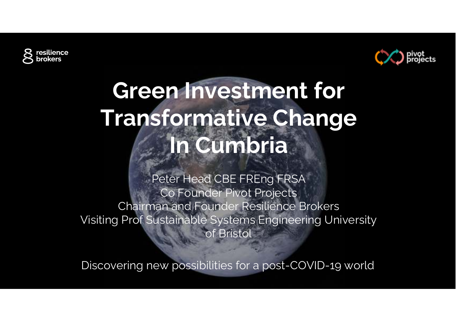



# **Green Investment for Transformative ChangeIn Cumbria**

Peter Head CBE FREng FRSA Co Founder Pivot Projects Chairman and Founder Resilience Brokers Visiting Prof Sustainable Systems Engineering University of Bristol

Discovering new possibilities for a post-COVID-19 world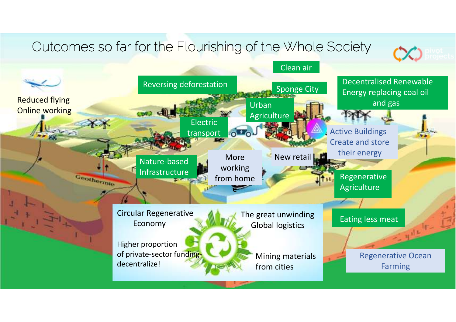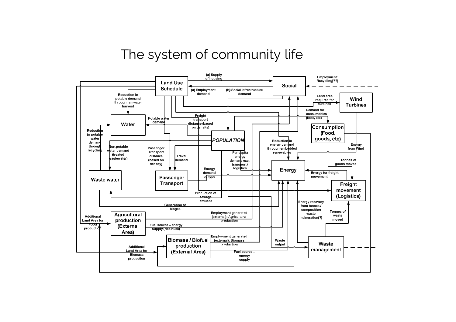#### The system of community life

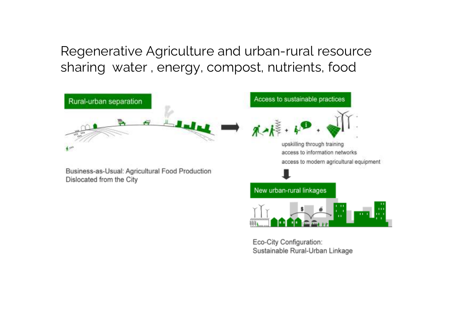Regenerative Agriculture and urban-rural resource sharing water , energy, compost, nutrients, food



Eco-City Configuration: Sustainable Rural-Urban Linkage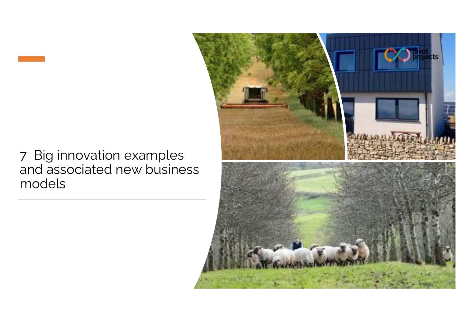#### 7 Big innovation examples and associated new business models

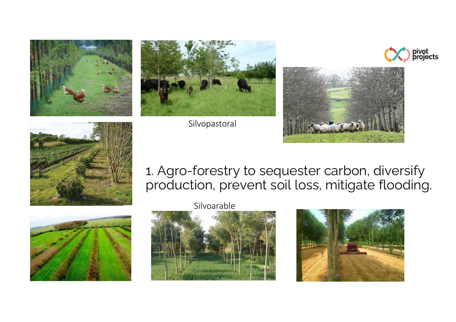



Silvopastoral







#### 1. Agro-forestry to sequester carbon, diversify production, prevent soil loss, mitigate flooding.



Silvoarable



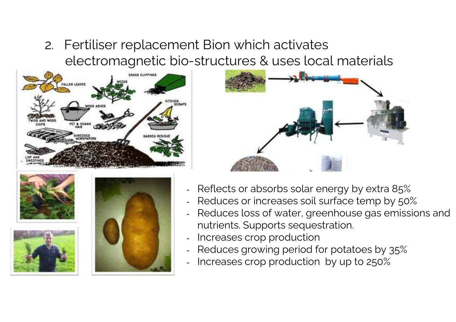2. Fertiliser replacement Bion which activates electromagnetic bio-structures & uses local materials











- Reflects or absorbs solar energy by extra 85%
- Reduces or increases soil surface temp by 50%
- Reduces loss of water, greenhouse gas emissions andnutrients. Supports sequestration.
- Increases crop production
- Reduces growing period for potatoes by 35%
- -Increases crop production by up to 250%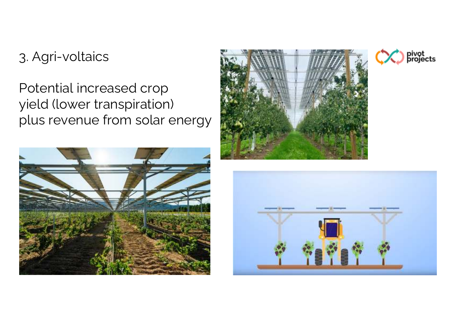## 3. Agri-voltaics

## Potential increased crop yield (lower transpiration) plus revenue from solar energy







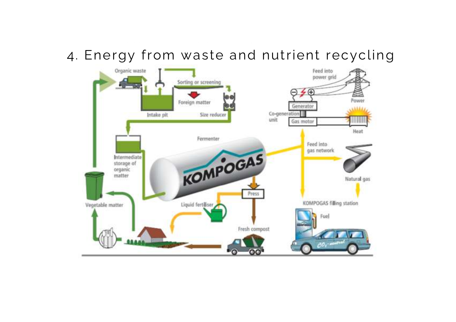### 4. Energy from waste and nutrient recycling

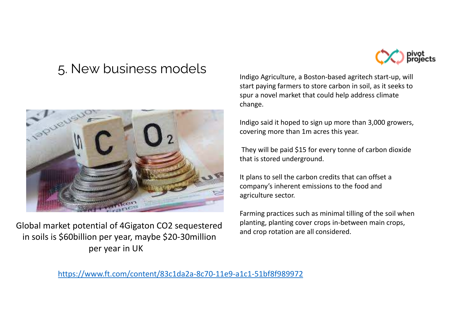#### 5. New business models



Global market potential of 4Gigaton CO2 sequestered in soils is \$60billion per year, maybe \$20-30millionper year in UK



Indigo Agriculture, a Boston-based agritech start-up, will start paying farmers to store carbon in soil, as it seeks to spur a novel market that could help address climatechange.

Indigo said it hoped to sign up more than 3,000 growers, covering more than 1m acres this year.

They will be paid \$15 for every tonne of carbon dioxide that is stored underground.

It plans to sell the carbon credits that can offset a company's inherent emissions to the food and agriculture sector.

Farming practices such as minimal tilling of the soil when planting, planting cover crops in-between main crops, and crop rotation are all considered.

https://www.ft.com/content/83c1da2a-8c70-11e9-a1c1-51bf8f989972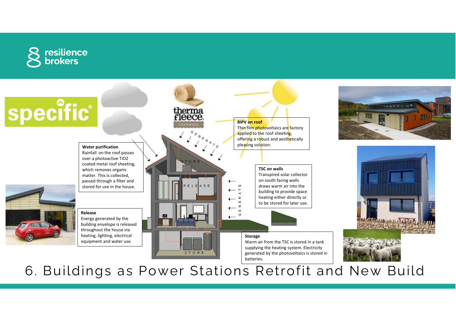



6. Buildings as Power Stations Retrofit and New Build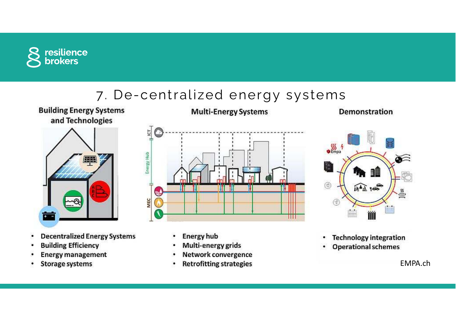

## 7. De-centralized energy systems



**Building Energy Systems** 

- **Decentralized Energy Systems**  $\bullet$
- **Building Efficiency**
- **Energy management**
- **Storage systems** ٠



- **Energy hub**
- Multi-energy grids
- Network convergence
- **Retrofitting strategies** ٠





- **Technology integration** ۰
- **Operational schemes** ٠

EMPA.ch